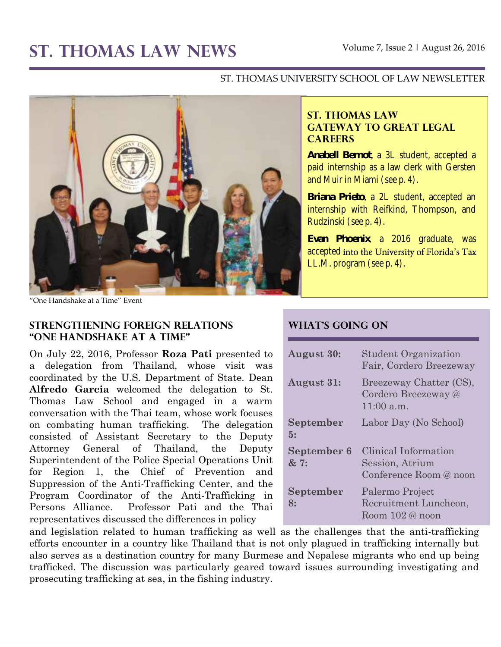# **ST. THOMAS LAW NEWS** Volume 7, Issue 2 **<sup>|</sup>** August 26, 2016

## ST. THOMAS UNIVERSITY SCHOOL OF LAW NEWSLETTER



"One Handshake at a Time" Event

#### **Strengthening foreign relations "one Handshake at a Time"**

On July 22, 2016, Professor **Roza Pati** presented to a delegation from Thailand, whose visit was coordinated by the U.S. Department of State. Dean **Alfredo Garcia** welcomed the delegation to St. Thomas Law School and engaged in a warm conversation with the Thai team, whose work focuses on combating human trafficking. The delegation consisted of Assistant Secretary to the Deputy Attorney General of Thailand, the Deputy Superintendent of the Police Special Operations Unit for Region 1, the Chief of Prevention and Suppression of the Anti-Trafficking Center, and the Program Coordinator of the Anti-Trafficking in Persons Alliance. Professor Pati and the Thai representatives discussed the differences in policy

## **ST. THOMAS LAW GATEWAY TO GREAT LEGAL CAREERS**

**Anabell Bernot**, a 3L student, accepted a paid internship as a law clerk with Gersten and Muir in Miami (see p. 4).

**Briana Prieto**, a 2L student, accepted an internship with Reifkind, Thompson, and Rudzinski (see p. 4).

**Evan Phoenix**, a 2016 graduate, was accepted into the University of Florida's Tax LL.M. program (see p. 4).

## **What's Going On**

| <b>August 30:</b>          | <b>Student Organization</b><br>Fair, Cordero Breezeway            |
|----------------------------|-------------------------------------------------------------------|
| <b>August 31:</b>          | Breezeway Chatter (CS),<br>Cordero Breezeway @<br>11:00a.m.       |
| September<br>5:            | Labor Day (No School)                                             |
| <b>September 6</b><br>& 7: | Clinical Information<br>Session, Atrium<br>Conference Room @ noon |
| September<br>8:            | Palermo Project<br>Recruitment Luncheon,<br>Room $102@$ noon      |

and legislation related to human trafficking as well as the challenges that the anti-trafficking efforts encounter in a country like Thailand that is not only plagued in trafficking internally but also serves as a destination country for many Burmese and Nepalese migrants who end up being trafficked. The discussion was particularly geared toward issues surrounding investigating and prosecuting trafficking at sea, in the fishing industry.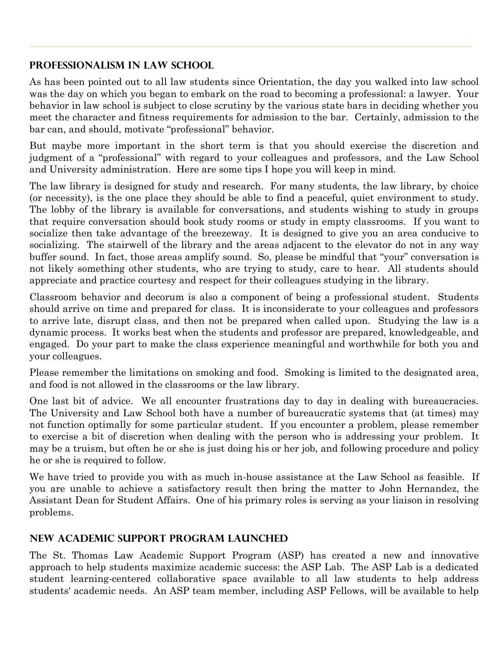## **Professionalism in Law School**

As has been pointed out to all law students since Orientation, the day you walked into law school was the day on which you began to embark on the road to becoming a professional: a lawyer. Your behavior in law school is subject to close scrutiny by the various state bars in deciding whether you meet the character and fitness requirements for admission to the bar. Certainly, admission to the bar can, and should, motivate "professional" behavior.

But maybe more important in the short term is that you should exercise the discretion and judgment of a "professional" with regard to your colleagues and professors, and the Law School and University administration. Here are some tips I hope you will keep in mind.

The law library is designed for study and research. For many students, the law library, by choice (or necessity), is the one place they should be able to find a peaceful, quiet environment to study. The lobby of the library is available for conversations, and students wishing to study in groups that require conversation should book study rooms or study in empty classrooms. If you want to socialize then take advantage of the breezeway. It is designed to give you an area conducive to socializing. The stairwell of the library and the areas adjacent to the elevator do not in any way buffer sound. In fact, those areas amplify sound. So, please be mindful that "your" conversation is not likely something other students, who are trying to study, care to hear. All students should appreciate and practice courtesy and respect for their colleagues studying in the library.

Classroom behavior and decorum is also a component of being a professional student. Students should arrive on time and prepared for class. It is inconsiderate to your colleagues and professors to arrive late, disrupt class, and then not be prepared when called upon. Studying the law is a dynamic process. It works best when the students and professor are prepared, knowledgeable, and engaged. Do your part to make the class experience meaningful and worthwhile for both you and your colleagues.

Please remember the limitations on smoking and food. Smoking is limited to the designated area, and food is not allowed in the classrooms or the law library.

One last bit of advice. We all encounter frustrations day to day in dealing with bureaucracies. The University and Law School both have a number of bureaucratic systems that (at times) may not function optimally for some particular student. If you encounter a problem, please remember to exercise a bit of discretion when dealing with the person who is addressing your problem. It may be a truism, but often he or she is just doing his or her job, and following procedure and policy he or she is required to follow.

We have tried to provide you with as much in-house assistance at the Law School as feasible. If you are unable to achieve a satisfactory result then bring the matter to John Hernandez, the Assistant Dean for Student Affairs. One of his primary roles is serving as your liaison in resolving problems.

# **New Academic Support Program Launched**

The St. Thomas Law Academic Support Program (ASP) has created a new and innovative approach to help students maximize academic success: the ASP Lab. The ASP Lab is a dedicated student learning-centered collaborative space available to all law students to help address students' academic needs. An ASP team member, including ASP Fellows, will be available to help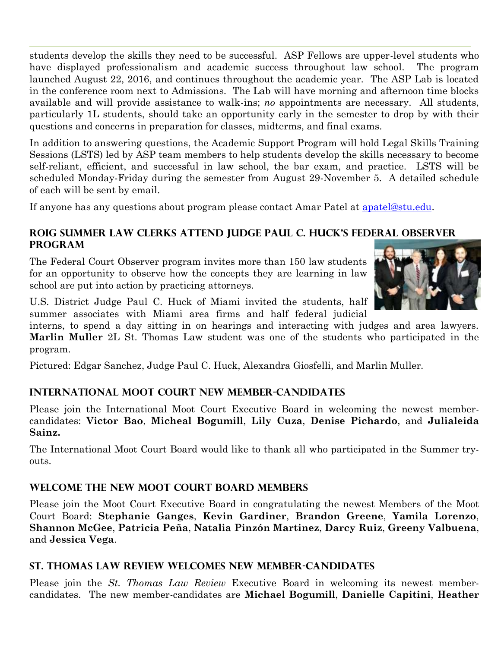students develop the skills they need to be successful. ASP Fellows are upper-level students who have displayed professionalism and academic success throughout law school. The program launched August 22, 2016, and continues throughout the academic year. The ASP Lab is located in the conference room next to Admissions. The Lab will have morning and afternoon time blocks available and will provide assistance to walk-ins; *no* appointments are necessary. All students, particularly 1L students, should take an opportunity early in the semester to drop by with their questions and concerns in preparation for classes, midterms, and final exams.

In addition to answering questions, the Academic Support Program will hold Legal Skills Training Sessions (LSTS) led by ASP team members to help students develop the skills necessary to become self-reliant, efficient, and successful in law school, the bar exam, and practice. LSTS will be scheduled Monday-Friday during the semester from August 29-November 5. A detailed schedule of each will be sent by email.

If anyone has any questions about program please contact Amar Patel at [apatel@stu.edu.](mailto:apatel@stu.edu)

## **ROIG Summer Law Clerks Attend Judge Paul C. Huck's Federal Observer Program**

The Federal Court Observer program invites more than 150 law students for an opportunity to observe how the concepts they are learning in law school are put into action by practicing attorneys.



U.S. District Judge Paul C. Huck of Miami invited the students, half summer associates with Miami area firms and half federal judicial

interns, to spend a day sitting in on hearings and interacting with judges and area lawyers. **Marlin Muller** 2L St. Thomas Law student was one of the students who participated in the program.

Pictured: Edgar Sanchez, Judge Paul C. Huck, Alexandra Giosfelli, and Marlin Muller.

# **International Moot Court New Member-Candidates**

Please join the International Moot Court Executive Board in welcoming the newest membercandidates: **Victor Bao**, **Micheal Bogumill**, **Lily Cuza**, **Denise Pichardo**, and **Julialeida Sainz.**

The International Moot Court Board would like to thank all who participated in the Summer tryouts.

## **Welcome the New Moot Court Board Members**

Please join the Moot Court Executive Board in congratulating the newest Members of the Moot Court Board: **Stephanie Ganges**, **Kevin Gardiner**, **Brandon Greene**, **Yamila Lorenzo**, **Shannon McGee**, **Patricia Peña**, **Natalia Pinzón Martinez**, **Darcy Ruiz**, **Greeny Valbuena**, and **Jessica Vega**.

## **St. Thomas Law Review Welcomes new Member-Candidates**

Please join the *St. Thomas Law Review* Executive Board in welcoming its newest membercandidates. The new member-candidates are **Michael Bogumill**, **Danielle Capitini**, **Heather**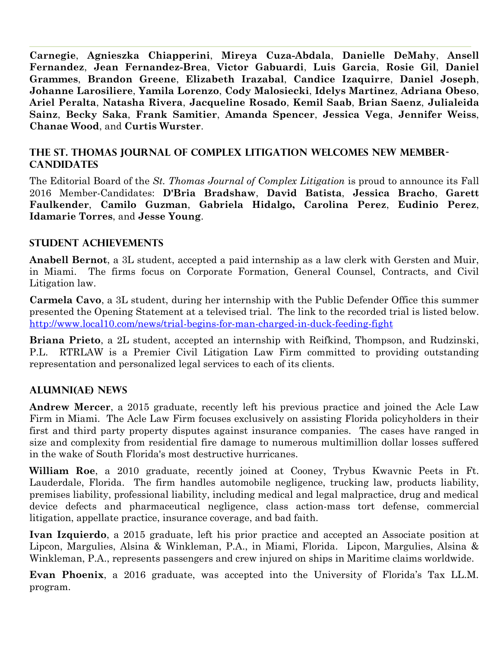**Carnegie**, **Agnieszka Chiapperini**, **Mireya Cuza-Abdala**, **Danielle DeMahy**, **Ansell Fernandez**, **Jean Fernandez-Brea**, **Victor Gabuardi**, **Luis Garcia**, **Rosie Gil**, **Daniel Grammes**, **Brandon Greene**, **Elizabeth Irazabal**, **Candice Izaquirre**, **Daniel Joseph**, **Johanne Larosiliere**, **Yamila Lorenzo**, **Cody Malosiecki**, **Idelys Martinez**, **Adriana Obeso**, **Ariel Peralta**, **Natasha Rivera**, **Jacqueline Rosado**, **Kemil Saab**, **Brian Saenz**, **Julialeida Sainz**, **Becky Saka**, **Frank Samitier**, **Amanda Spencer**, **Jessica Vega**, **Jennifer Weiss**, **Chanae Wood**, and **Curtis Wurster**.

## **The St. Thomas Journal of Complex Litigation welcomes new Member-Candidates**

The Editorial Board of the *St. Thomas Journal of Complex Litigation* is proud to announce its Fall 2016 Member-Candidates: **D'Bria Bradshaw**, **David Batista**, **Jessica Bracho**, **Garett Faulkender**, **Camilo Guzman**, **Gabriela Hidalgo, Carolina Perez**, **Eudinio Perez**, **Idamarie Torres**, and **Jesse Young**.

## **STUDENT ACHIEVEMENTS**

**Anabell Bernot**, a 3L student, accepted a paid internship as a law clerk with Gersten and Muir, in Miami. The firms focus on Corporate Formation, General Counsel, Contracts, and Civil Litigation law.

**Carmela Cavo**, a 3L student, during her internship with the Public Defender Office this summer presented the Opening Statement at a televised trial. The link to the recorded trial is listed below. <http://www.local10.com/news/trial-begins-for-man-charged-in-duck-feeding-fight>

**Briana Prieto**, a 2L student, accepted an internship with Reifkind, Thompson, and Rudzinski, P.L. RTRLAW is a Premier Civil Litigation Law Firm committed to providing outstanding representation and personalized legal services to each of its clients.

## **ALUMNI(AE) NEWS**

**Andrew Mercer**, a 2015 graduate, recently left his previous practice and joined the Acle Law Firm in Miami. The Acle Law Firm focuses exclusively on assisting Florida policyholders in their first and third party property disputes against insurance companies. The cases have ranged in size and complexity from residential fire damage to numerous multimillion dollar losses suffered in the wake of South Florida's most destructive hurricanes.

**William Roe**, a 2010 graduate, recently joined at Cooney, Trybus Kwavnic Peets in Ft. Lauderdale, Florida. The firm handles automobile negligence, trucking law, products liability, premises liability, professional liability, including medical and legal malpractice, drug and medical device defects and pharmaceutical negligence, class action-mass tort defense, commercial litigation, appellate practice, insurance coverage, and bad faith.

**Ivan Izquierdo**, a 2015 graduate, left his prior practice and accepted an Associate position at Lipcon, Margulies, Alsina & Winkleman, P.A., in Miami, Florida. Lipcon, Margulies, Alsina & Winkleman, P.A., represents passengers and crew injured on ships in Maritime claims worldwide.

**Evan Phoenix**, a 2016 graduate, was accepted into the University of Florida's Tax LL.M. program.